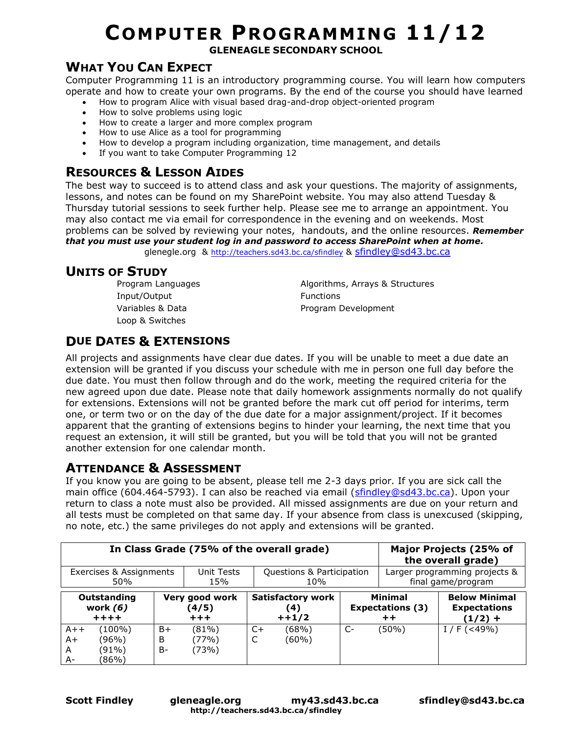# **COMPUTER PROGRAMMING 11/12**

**GLENEAGLE SECONDARY SCHOOL**

#### **WHAT YOU CAN EXPECT**

Computer Programming 11 is an introductory programming course. You will learn how computers operate and how to create your own programs. By the end of the course you should have learned

- How to program Alice with visual based drag-and-drop object-oriented program
- How to solve problems using logic
- How to create a larger and more complex program
- How to use Alice as a tool for programming
- How to develop a program including organization, time management, and details
- If you want to take Computer Programming 12

#### **RESOURCES & LESSON AIDES**

The best way to succeed is to attend class and ask your questions. The majority of assignments, lessons, and notes can be found on my SharePoint website. You may also attend Tuesday & Thursday tutorial sessions to seek further help. Please see me to arrange an appointment. You may also contact me via email for correspondence in the evening and on weekends. Most problems can be solved by reviewing your notes, handouts, and the online resources. *Remember that you must use your student log in and password to access SharePoint when at home.*

glenegle.org & <http://teachers.sd43.bc.ca/sfindley> & [sfindley@sd43.bc.ca](mailto:sfindley@sd43.bc.ca)

## **UNITS OF STUDY**

Program Languages Input/Output Variables & Data Loop & Switches

Algorithms, Arrays & Structures Functions Program Development

## **DUE DATES & EXTENSIONS**

All projects and assignments have clear due dates. If you will be unable to meet a due date an extension will be granted if you discuss your schedule with me in person one full day before the due date. You must then follow through and do the work, meeting the required criteria for the new agreed upon due date. Please note that daily homework assignments normally do not qualify for extensions. Extensions will not be granted before the mark cut off period for interims, term one, or term two or on the day of the due date for a major assignment/project. If it becomes apparent that the granting of extensions begins to hinder your learning, the next time that you request an extension, it will still be granted, but you will be told that you will not be granted another extension for one calendar month.

#### **ATTENDANCE & ASSESSMENT**

If you know you are going to be absent, please tell me 2-3 days prior. If you are sick call the main office (604.464-5793). I can also be reached via email [\(sfindley@sd43.bc.ca\)](mailto:sfindley@sd43.bc.ca). Upon your return to class a note must also be provided. All missed assignments are due on your return and all tests must be completed on that same day. If your absence from class is unexcused (skipping, no note, etc.) the same privileges do not apply and extensions will be granted.

|                          | In Class Grade (75% of the overall grade)<br>Major Projects (25% of<br>the overall grade) |                |                           |                          |                               |                         |       |                      |  |
|--------------------------|-------------------------------------------------------------------------------------------|----------------|---------------------------|--------------------------|-------------------------------|-------------------------|-------|----------------------|--|
| Exercises & Assignments  |                                                                                           | Unit Tests     | Questions & Participation |                          | Larger programming projects & |                         |       |                      |  |
| 50%                      |                                                                                           | 15%            | 10%                       |                          | final game/program            |                         |       |                      |  |
| Outstanding              |                                                                                           | Very good work |                           | <b>Satisfactory work</b> |                               | <b>Minimal</b>          |       | <b>Below Minimal</b> |  |
| work $(6)$               |                                                                                           | (4/5)          |                           | (4)                      |                               | <b>Expectations (3)</b> |       | <b>Expectations</b>  |  |
| $+ + + +$                |                                                                                           | $+ + +$        |                           | $++1/2$                  |                               | $+ +$                   |       | $(1/2) +$            |  |
| $A++$<br>$A+$<br>A<br>A- | (100%)<br>(96%)<br>(91%)<br>(86%)                                                         | B+<br>B<br>B-  | (81%)<br>(77%)<br>(73%)   | C+<br>◡                  | (68%)<br>(60%)                | $C-$                    | (50%) | $I / F (< 49\%)$     |  |